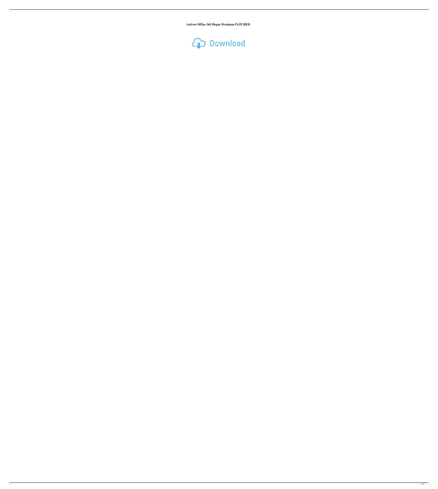**Activar Office 365 Hogar Premium PATCHED**